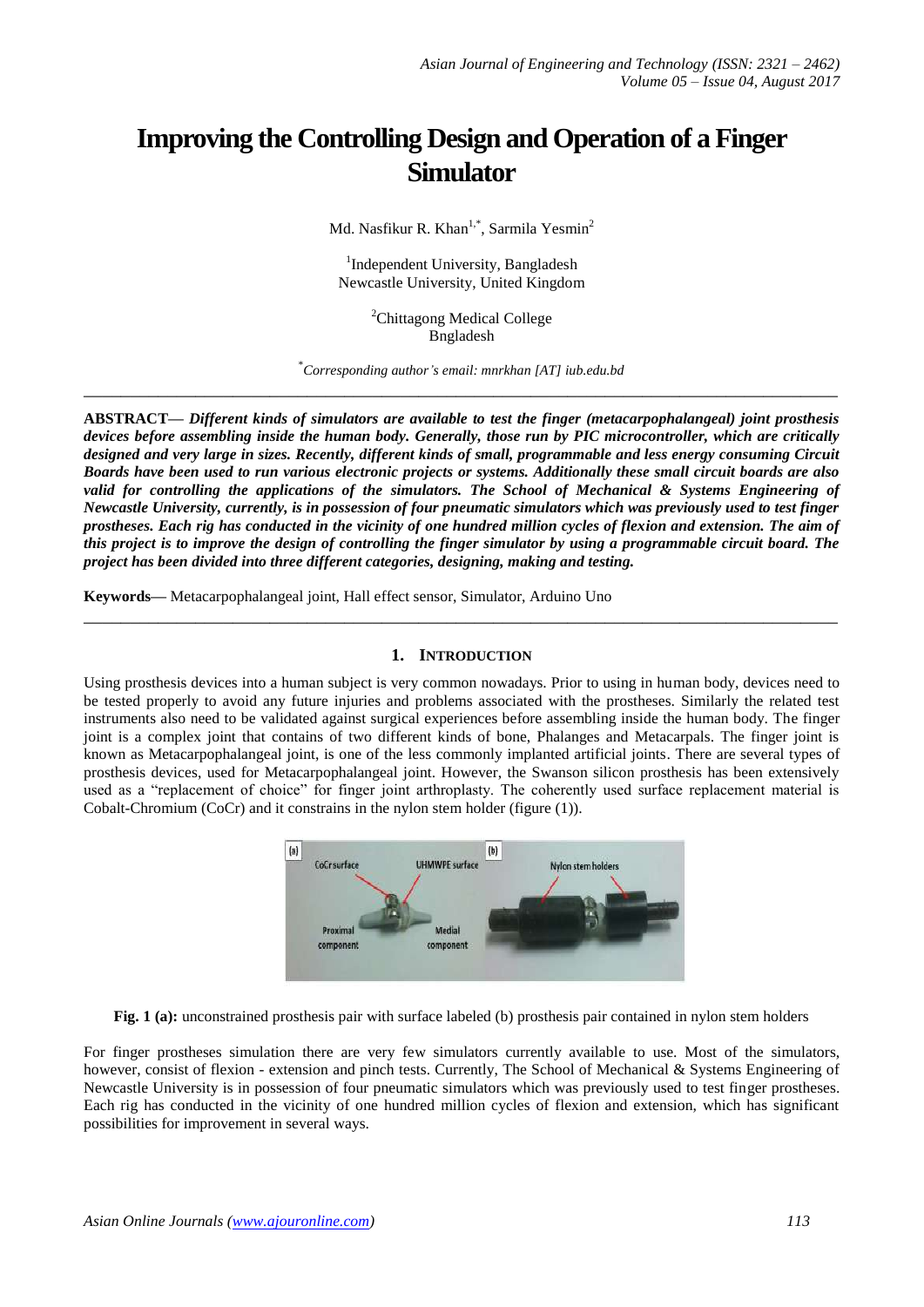# **Improving the Controlling Design and Operation of a Finger Simulator**

Md. Nasfikur R. Khan<sup>1,\*</sup>, Sarmila Yesmin<sup>2</sup>

<sup>1</sup>Independent University, Bangladesh Newcastle University, United Kingdom

> <sup>2</sup>Chittagong Medical College Bngladesh

\* *Corresponding author's email: mnrkhan [AT] iub.edu.bd* **\_\_\_\_\_\_\_\_\_\_\_\_\_\_\_\_\_\_\_\_\_\_\_\_\_\_\_\_\_\_\_\_\_\_\_\_\_\_\_\_\_\_\_\_\_\_\_\_\_\_\_\_\_\_\_\_\_\_\_\_\_\_\_\_\_\_\_\_\_\_\_\_\_\_\_\_\_\_\_\_\_**

**ABSTRACT—** *Different kinds of simulators are available to test the finger (metacarpophalangeal) joint prosthesis devices before assembling inside the human body. Generally, those run by PIC microcontroller, which are critically designed and very large in sizes. Recently, different kinds of small, programmable and less energy consuming Circuit Boards have been used to run various electronic projects or systems. Additionally these small circuit boards are also*  valid for controlling the applications of the simulators. The School of Mechanical & Systems Engineering of *Newcastle University, currently, is in possession of four pneumatic simulators which was previously used to test finger prostheses. Each rig has conducted in the vicinity of one hundred million cycles of flexion and extension. The aim of this project is to improve the design of controlling the finger simulator by using a programmable circuit board. The project has been divided into three different categories, designing, making and testing.*

**Keywords—** Metacarpophalangeal joint, Hall effect sensor, Simulator, Arduino Uno

## **1. INTRODUCTION**

**\_\_\_\_\_\_\_\_\_\_\_\_\_\_\_\_\_\_\_\_\_\_\_\_\_\_\_\_\_\_\_\_\_\_\_\_\_\_\_\_\_\_\_\_\_\_\_\_\_\_\_\_\_\_\_\_\_\_\_\_\_\_\_\_\_\_\_\_\_\_\_\_\_\_\_\_\_\_\_\_\_**

Using prosthesis devices into a human subject is very common nowadays. Prior to using in human body, devices need to be tested properly to avoid any future injuries and problems associated with the prostheses. Similarly the related test instruments also need to be validated against surgical experiences before assembling inside the human body. The finger joint is a complex joint that contains of two different kinds of bone, Phalanges and Metacarpals. The finger joint is known as Metacarpophalangeal joint, is one of the less commonly implanted artificial joints. There are several types of prosthesis devices, used for Metacarpophalangeal joint. However, the Swanson silicon prosthesis has been extensively used as a "replacement of choice" for finger joint arthroplasty. The coherently used surface replacement material is Cobalt-Chromium (CoCr) and it constrains in the nylon stem holder (figure (1)).



**Fig. 1 (a):** unconstrained prosthesis pair with surface labeled (b) prosthesis pair contained in nylon stem holders

For finger prostheses simulation there are very few simulators currently available to use. Most of the simulators, however, consist of flexion - extension and pinch tests. Currently, The School of Mechanical & Systems Engineering of Newcastle University is in possession of four pneumatic simulators which was previously used to test finger prostheses. Each rig has conducted in the vicinity of one hundred million cycles of flexion and extension, which has significant possibilities for improvement in several ways.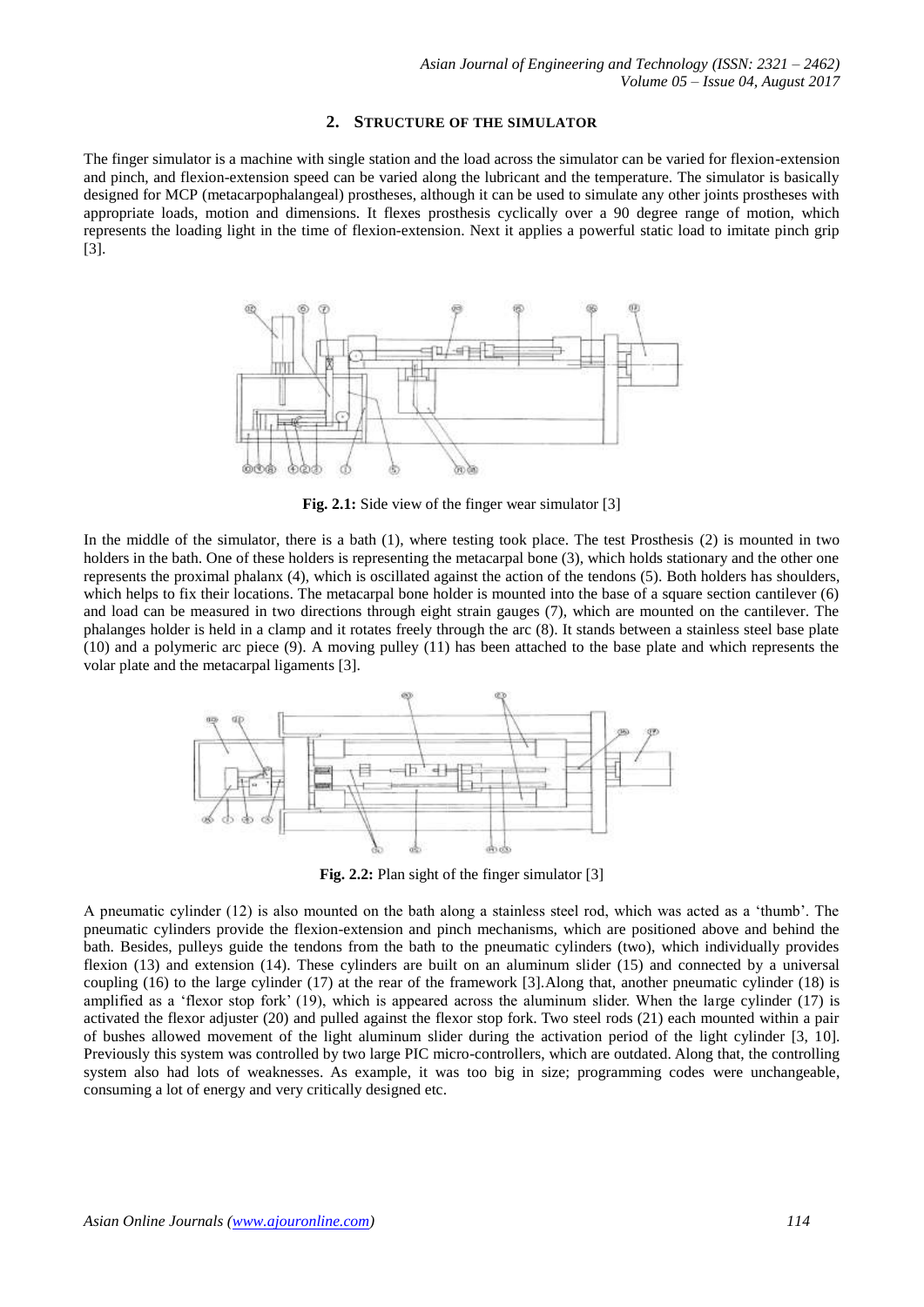#### **2. STRUCTURE OF THE SIMULATOR**

The finger simulator is a machine with single station and the load across the simulator can be varied for flexion-extension and pinch, and flexion-extension speed can be varied along the lubricant and the temperature. The simulator is basically designed for MCP (metacarpophalangeal) prostheses, although it can be used to simulate any other joints prostheses with appropriate loads, motion and dimensions. It flexes prosthesis cyclically over a 90 degree range of motion, which represents the loading light in the time of flexion-extension. Next it applies a powerful static load to imitate pinch grip [3].



Fig. 2.1: Side view of the finger wear simulator [3]

In the middle of the simulator, there is a bath (1), where testing took place. The test Prosthesis (2) is mounted in two holders in the bath. One of these holders is representing the metacarpal bone (3), which holds stationary and the other one represents the proximal phalanx (4), which is oscillated against the action of the tendons (5). Both holders has shoulders, which helps to fix their locations. The metacarpal bone holder is mounted into the base of a square section cantilever (6) and load can be measured in two directions through eight strain gauges (7), which are mounted on the cantilever. The phalanges holder is held in a clamp and it rotates freely through the arc (8). It stands between a stainless steel base plate (10) and a polymeric arc piece (9). A moving pulley (11) has been attached to the base plate and which represents the volar plate and the metacarpal ligaments [3].



**Fig. 2.2:** Plan sight of the finger simulator [3]

A pneumatic cylinder (12) is also mounted on the bath along a stainless steel rod, which was acted as a 'thumb'. The pneumatic cylinders provide the flexion-extension and pinch mechanisms, which are positioned above and behind the bath. Besides, pulleys guide the tendons from the bath to the pneumatic cylinders (two), which individually provides flexion (13) and extension (14). These cylinders are built on an aluminum slider (15) and connected by a universal coupling (16) to the large cylinder (17) at the rear of the framework [3].Along that, another pneumatic cylinder (18) is amplified as a 'flexor stop fork' (19), which is appeared across the aluminum slider. When the large cylinder (17) is activated the flexor adjuster (20) and pulled against the flexor stop fork. Two steel rods (21) each mounted within a pair of bushes allowed movement of the light aluminum slider during the activation period of the light cylinder [3, 10]. Previously this system was controlled by two large PIC micro-controllers, which are outdated. Along that, the controlling system also had lots of weaknesses. As example, it was too big in size; programming codes were unchangeable, consuming a lot of energy and very critically designed etc.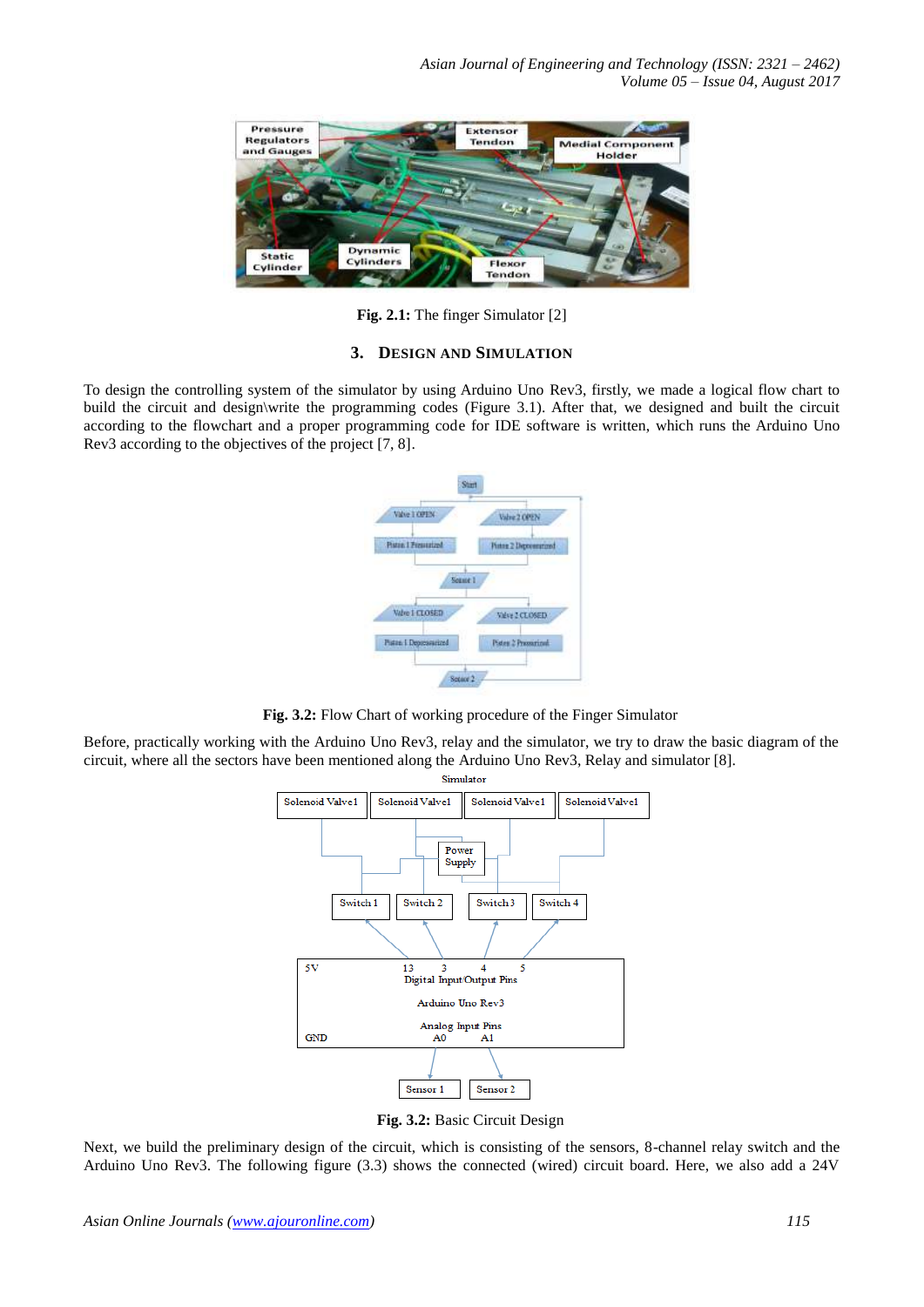

**Fig. 2.1:** The finger Simulator [2]

## **3. DESIGN AND SIMULATION**

To design the controlling system of the simulator by using Arduino Uno Rev3, firstly, we made a logical flow chart to build the circuit and design\write the programming codes (Figure 3.1). After that, we designed and built the circuit according to the flowchart and a proper programming code for IDE software is written, which runs the Arduino Uno Rev3 according to the objectives of the project [7, 8].



**Fig. 3.2:** Flow Chart of working procedure of the Finger Simulator

Before, practically working with the Arduino Uno Rev3, relay and the simulator, we try to draw the basic diagram of the circuit, where all the sectors have been mentioned along the Arduino Uno Rev3, Relay and simulator [8].



**Fig. 3.2:** Basic Circuit Design

Next, we build the preliminary design of the circuit, which is consisting of the sensors, 8-channel relay switch and the Arduino Uno Rev3. The following figure (3.3) shows the connected (wired) circuit board. Here, we also add a 24V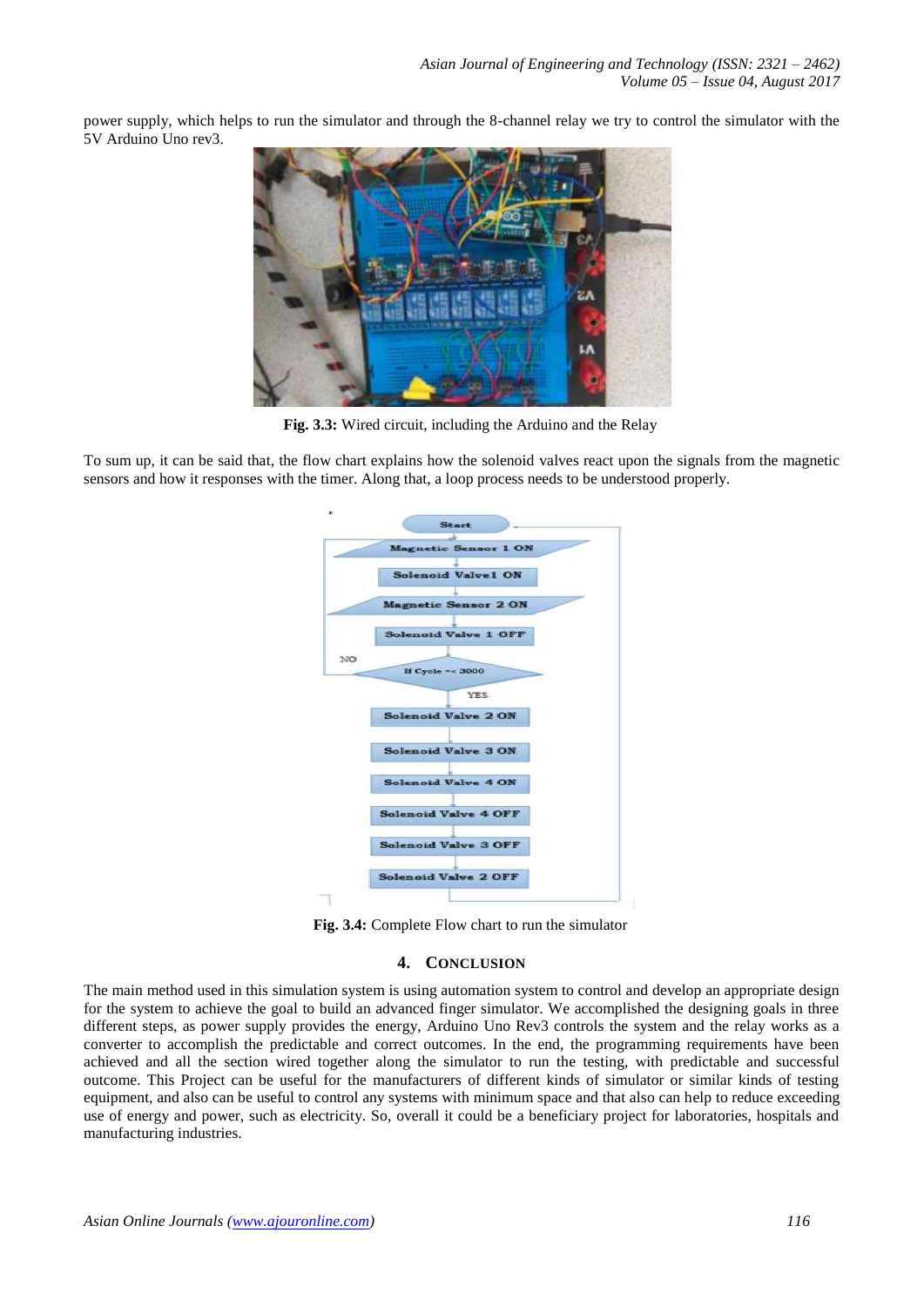power supply, which helps to run the simulator and through the 8-channel relay we try to control the simulator with the 5V Arduino Uno rev3.



**Fig. 3.3:** Wired circuit, including the Arduino and the Relay

To sum up, it can be said that, the flow chart explains how the solenoid valves react upon the signals from the magnetic sensors and how it responses with the timer. Along that, a loop process needs to be understood properly.



**Fig. 3.4:** Complete Flow chart to run the simulator

## **4. CONCLUSION**

The main method used in this simulation system is using automation system to control and develop an appropriate design for the system to achieve the goal to build an advanced finger simulator. We accomplished the designing goals in three different steps, as power supply provides the energy, Arduino Uno Rev3 controls the system and the relay works as a converter to accomplish the predictable and correct outcomes. In the end, the programming requirements have been achieved and all the section wired together along the simulator to run the testing, with predictable and successful outcome. This Project can be useful for the manufacturers of different kinds of simulator or similar kinds of testing equipment, and also can be useful to control any systems with minimum space and that also can help to reduce exceeding use of energy and power, such as electricity. So, overall it could be a beneficiary project for laboratories, hospitals and manufacturing industries.